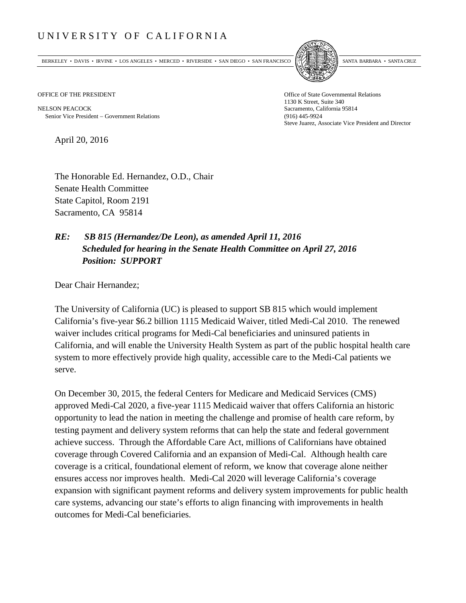## UNIVERSITY OF CALIFORNIA

BERKELEY • DAVIS • IRVINE • LOS ANGELES • MERCED • RIVERSIDE • SAN DIEGO • SAN FRANCISCO [5] SANTA BARBARA • SANTA CRUZ



OFFICE OF THE PRESIDENT STATES OF THE PRESIDENT

NELSON PEACOCK Sacramento, California 95814 Senior Vice President − Government Relations (916) 445-9924

1130 K Street, Suite 340 Steve Juarez, Associate Vice President and Director

April 20, 2016

The Honorable Ed. Hernandez, O.D., Chair Senate Health Committee State Capitol, Room 2191 Sacramento, CA 95814

## *RE: SB 815 (Hernandez/De Leon), as amended April 11, 2016 Scheduled for hearing in the Senate Health Committee on April 27, 2016 Position: SUPPORT*

Dear Chair Hernandez;

The University of California (UC) is pleased to support SB 815 which would implement California's five-year \$6.2 billion 1115 Medicaid Waiver, titled Medi-Cal 2010. The renewed waiver includes critical programs for Medi-Cal beneficiaries and uninsured patients in California, and will enable the University Health System as part of the public hospital health care system to more effectively provide high quality, accessible care to the Medi-Cal patients we serve.

On December 30, 2015, the federal Centers for Medicare and Medicaid Services (CMS) approved Medi-Cal 2020, a five-year 1115 Medicaid waiver that offers California an historic opportunity to lead the nation in meeting the challenge and promise of health care reform, by testing payment and delivery system reforms that can help the state and federal government achieve success. Through the Affordable Care Act, millions of Californians have obtained coverage through Covered California and an expansion of Medi-Cal. Although health care coverage is a critical, foundational element of reform, we know that coverage alone neither ensures access nor improves health. Medi-Cal 2020 will leverage California's coverage expansion with significant payment reforms and delivery system improvements for public health care systems, advancing our state's efforts to align financing with improvements in health outcomes for Medi-Cal beneficiaries.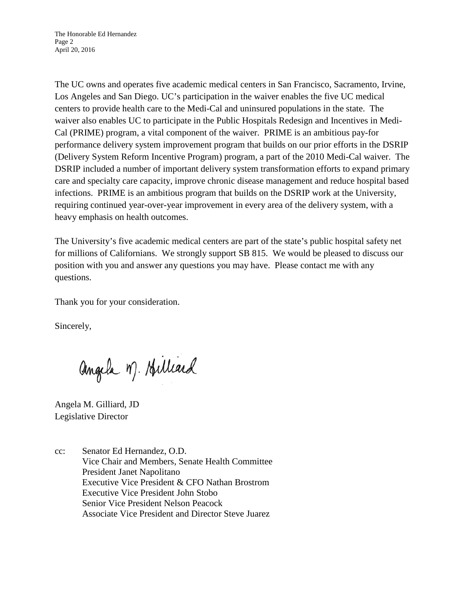The UC owns and operates five academic medical centers in San Francisco, Sacramento, Irvine, Los Angeles and San Diego. UC's participation in the waiver enables the five UC medical centers to provide health care to the Medi-Cal and uninsured populations in the state. The waiver also enables UC to participate in the Public Hospitals Redesign and Incentives in Medi-Cal (PRIME) program, a vital component of the waiver. PRIME is an ambitious pay-for performance delivery system improvement program that builds on our prior efforts in the DSRIP (Delivery System Reform Incentive Program) program, a part of the 2010 Medi-Cal waiver. The DSRIP included a number of important delivery system transformation efforts to expand primary care and specialty care capacity, improve chronic disease management and reduce hospital based infections. PRIME is an ambitious program that builds on the DSRIP work at the University, requiring continued year-over-year improvement in every area of the delivery system, with a heavy emphasis on health outcomes.

The University's five academic medical centers are part of the state's public hospital safety net for millions of Californians. We strongly support SB 815. We would be pleased to discuss our position with you and answer any questions you may have. Please contact me with any questions.

Thank you for your consideration.

Sincerely,

angela M. Hilliard

Angela M. Gilliard, JD Legislative Director

cc: Senator Ed Hernandez, O.D. Vice Chair and Members, Senate Health Committee President Janet Napolitano Executive Vice President & CFO Nathan Brostrom Executive Vice President John Stobo Senior Vice President Nelson Peacock Associate Vice President and Director Steve Juarez